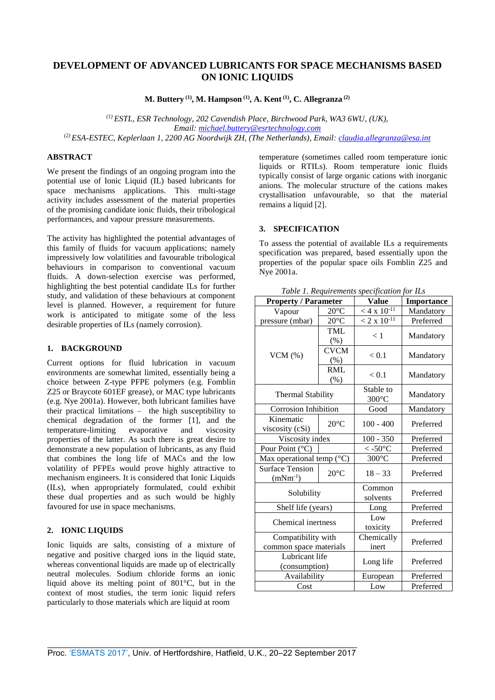# **DEVELOPMENT OF ADVANCED LUBRICANTS FOR SPACE MECHANISMS BASED ON IONIC LIQUIDS**

**M. Buttery (1) , M. Hampson (1) , A. Kent (1) , C. Allegranza (2)**

*(1) ESTL, ESR Technology, 202 Cavendish Place, Birchwood Park, WA3 6WU, (UK), Email: [michael.buttery@esrtechnology.com](mailto:michael.buttery@esrtechnology.com) (2) ESA-ESTEC, Keplerlaan 1, 2200 AG Noordwijk ZH, (The Netherlands), Email: [claudia.allegranza@esa.int](mailto:claudia.allegranza@esa.int)*

# **ABSTRACT**

We present the findings of an ongoing program into the potential use of Ionic Liquid (IL) based lubricants for space mechanisms applications. This multi-stage activity includes assessment of the material properties of the promising candidate ionic fluids, their tribological performances, and vapour pressure measurements.

The activity has highlighted the potential advantages of this family of fluids for vacuum applications; namely impressively low volatilities and favourable tribological behaviours in comparison to conventional vacuum fluids. A down-selection exercise was performed, highlighting the best potential candidate ILs for further study, and validation of these behaviours at component level is planned. However, a requirement for future work is anticipated to mitigate some of the less desirable properties of ILs (namely corrosion).

# **1. BACKGROUND**

Current options for fluid lubrication in vacuum environments are somewhat limited, essentially being a choice between Z-type PFPE polymers (e.g. Fomblin Z25 or Braycote 601EF grease), or MAC type lubricants (e.g. Nye 2001a). However, both lubricant families have their practical limitations – the high susceptibility to chemical degradation of the former [1], and the temperature-limiting evaporative and viscosity properties of the latter. As such there is great desire to demonstrate a new population of lubricants, as any fluid that combines the long life of MACs and the low volatility of PFPEs would prove highly attractive to mechanism engineers. It is considered that Ionic Liquids (ILs), when appropriately formulated, could exhibit these dual properties and as such would be highly favoured for use in space mechanisms.

### **2. IONIC LIQUIDS**

Ionic liquids are salts, consisting of a mixture of negative and positive charged ions in the liquid state, whereas conventional liquids are made up of electrically neutral molecules. Sodium chloride forms an ionic liquid above its melting point of 801°C, but in the context of most studies, the term ionic liquid refers particularly to those materials which are liquid at room

temperature (sometimes called room temperature ionic liquids or RTILs). Room temperature ionic fluids typically consist of large organic cations with inorganic anions. The molecular structure of the cations makes crystallisation unfavourable, so that the material remains a liquid [2].

### **3. SPECIFICATION**

To assess the potential of available ILs a requirements specification was prepared, based essentially upon the properties of the popular space oils Fomblin Z25 and Nye 2001a.

*Table 1. Requirements specification for ILs*

|                                              |                        | ruote 1. Regun ements specification |                   |
|----------------------------------------------|------------------------|-------------------------------------|-------------------|
| <b>Property / Parameter</b>                  |                        | <b>Value</b>                        | <b>Importance</b> |
| Vapour                                       | $20^{\circ}$ C         | $< 4 \times 10^{-11}$               | Mandatory         |
| pressure (mbar)                              | $20^{\circ}$ C         | $< 2 \times 10^{-11}$               | Preferred         |
|                                              | <b>TML</b><br>(%)      | < 1                                 | Mandatory         |
| VCM $(%)$                                    | <b>CVCM</b><br>$(\% )$ | < 0.1                               | Mandatory         |
|                                              | <b>RML</b><br>$(\%)$   | < 0.1                               | Mandatory         |
| <b>Thermal Stability</b>                     |                        | Stable to<br>$300^{\circ}$ C        | Mandatory         |
| <b>Corrosion Inhibition</b>                  |                        | Good                                | Mandatory         |
| Kinematic<br>viscosity (cSi)                 | $20^{\circ}$ C         | $100 - 400$                         | Preferred         |
| Viscosity index                              |                        | $100 - 350$                         | Preferred         |
| Pour Point (°C)                              |                        | $\leq$ -50 $^{\circ}$ C             | Preferred         |
| Max operational temp $(^{\circ}C)$           |                        | $300^{\circ}$ C                     | Preferred         |
| <b>Surface Tension</b><br>$(mNm^{-1})$       | $20^{\circ}$ C         | $18 - 33$                           | Preferred         |
| Solubility                                   |                        | Common<br>solvents                  | Preferred         |
|                                              | Shelf life (years)     |                                     | Preferred         |
| Chemical inertness                           |                        | Low<br>toxicity                     | Preferred         |
| Compatibility with<br>common space materials |                        | Chemically<br>inert                 | Preferred         |
| Lubricant life<br>(consumption)              |                        | Long life                           | Preferred         |
| Availability                                 |                        | European                            | Preferred         |
| Cost                                         |                        | Low                                 | Preferred         |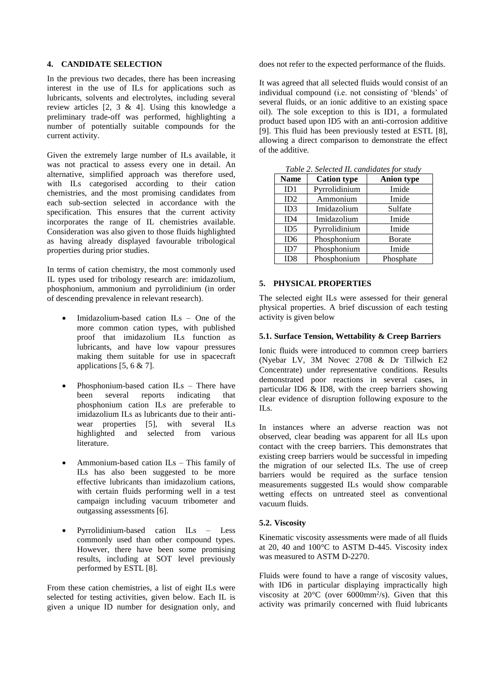#### **4. CANDIDATE SELECTION**

In the previous two decades, there has been increasing interest in the use of ILs for applications such as lubricants, solvents and electrolytes, including several review articles [2, 3 & 4]. Using this knowledge a preliminary trade-off was performed, highlighting a number of potentially suitable compounds for the current activity.

Given the extremely large number of ILs available, it was not practical to assess every one in detail. An alternative, simplified approach was therefore used, with ILs categorised according to their cation chemistries, and the most promising candidates from each sub-section selected in accordance with the specification. This ensures that the current activity incorporates the range of IL chemistries available. Consideration was also given to those fluids highlighted as having already displayed favourable tribological properties during prior studies.

In terms of cation chemistry, the most commonly used IL types used for tribology research are: imidazolium, phosphonium, ammonium and pyrrolidinium (in order of descending prevalence in relevant research).

- Imidazolium-based cation ILs One of the more common cation types, with published proof that imidazolium ILs function as lubricants, and have low vapour pressures making them suitable for use in spacecraft applications  $[5, 6 \& 7]$ .
- Phosphonium-based cation ILs There have<br>been several reports indicating that indicating that phosphonium cation ILs are preferable to imidazolium ILs as lubricants due to their antiwear properties [5], with several ILs highlighted and selected from various literature.
- Ammonium-based cation ILs This family of ILs has also been suggested to be more effective lubricants than imidazolium cations, with certain fluids performing well in a test campaign including vacuum tribometer and outgassing assessments [6].
- Pyrrolidinium-based cation ILs Less commonly used than other compound types. However, there have been some promising results, including at SOT level previously performed by ESTL [8].

From these cation chemistries, a list of eight ILs were selected for testing activities, given below. Each IL is given a unique ID number for designation only, and does not refer to the expected performance of the fluids.

It was agreed that all selected fluids would consist of an individual compound (i.e. not consisting of 'blends' of several fluids, or an ionic additive to an existing space oil). The sole exception to this is ID1, a formulated product based upon ID5 with an anti-corrosion additive [9]. This fluid has been previously tested at ESTL [8], allowing a direct comparison to demonstrate the effect of the additive.

|                 | Table 2. Selected IL candidates for study |                   |  |  |
|-----------------|-------------------------------------------|-------------------|--|--|
| <b>Name</b>     | <b>Cation type</b>                        | <b>Anion type</b> |  |  |
| ID1             | Pyrrolidinium                             | Imide             |  |  |
| ID2             | Ammonium                                  | Imide             |  |  |
| ID <sub>3</sub> | Imidazolium                               | Sulfate           |  |  |
| ID4             | Imidazolium                               | Imide             |  |  |
| ID5             | Pyrrolidinium                             | Imide             |  |  |
| ID <sub>6</sub> | Phosphonium                               | <b>B</b> orate    |  |  |
| ID7             | Phosphonium                               | Imide             |  |  |
| ID <sub>8</sub> | Phosphonium                               | Phosphate         |  |  |

*Table 2. Selected IL candidates for study*

#### **5. PHYSICAL PROPERTIES**

The selected eight ILs were assessed for their general physical properties. A brief discussion of each testing activity is given below

#### **5.1. Surface Tension, Wettability & Creep Barriers**

Ionic fluids were introduced to common creep barriers (Nyebar LV, 3M Novec 2708 & Dr Tillwich E2 Concentrate) under representative conditions. Results demonstrated poor reactions in several cases, in particular ID6 & ID8, with the creep barriers showing clear evidence of disruption following exposure to the ILs.

In instances where an adverse reaction was not observed, clear beading was apparent for all ILs upon contact with the creep barriers. This demonstrates that existing creep barriers would be successful in impeding the migration of our selected ILs. The use of creep barriers would be required as the surface tension measurements suggested ILs would show comparable wetting effects on untreated steel as conventional vacuum fluids.

# **5.2. Viscosity**

Kinematic viscosity assessments were made of all fluids at 20, 40 and 100°C to ASTM D-445. Viscosity index was measured to ASTM D-2270.

Fluids were found to have a range of viscosity values, with ID6 in particular displaying impractically high viscosity at  $20^{\circ}$ C (over 6000mm<sup>2</sup>/s). Given that this activity was primarily concerned with fluid lubricants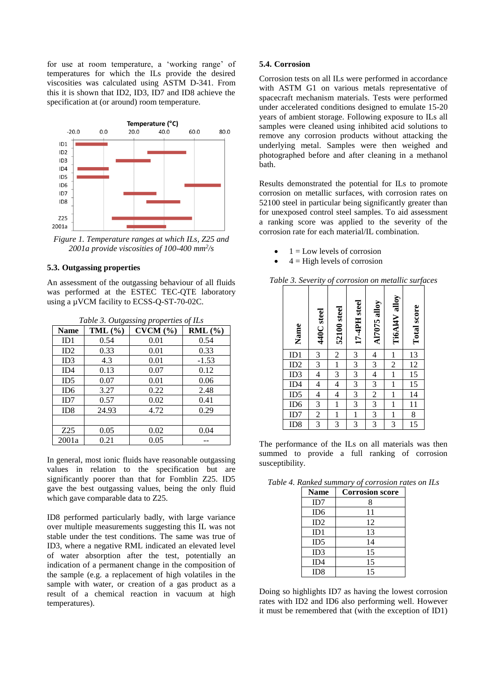for use at room temperature, a 'working range' of temperatures for which the ILs provide the desired viscosities was calculated using ASTM D-341. From this it is shown that ID2, ID3, ID7 and ID8 achieve the specification at (or around) room temperature.



*Figure 1. Temperature ranges at which ILs, Z25 and 2001a provide viscosities of 100-400 mm<sup>2</sup> /s*

# **5.3. Outgassing properties**

An assessment of the outgassing behaviour of all fluids was performed at the ESTEC TEC-QTE laboratory using a µVCM facility to ECSS-Q-ST-70-02C.

| <b>Name</b>     | TML $(\% )$ | Table 5. Onigassing properties of 12s<br>CVCM (%) | $RML$ (%) |
|-----------------|-------------|---------------------------------------------------|-----------|
| ID1             | 0.54        | 0.01                                              | 0.54      |
| ID2             | 0.33        | 0.01                                              | 0.33      |
| ID3             | 4.3         | 0.01                                              | $-1.53$   |
| ID4             | 0.13        | 0.07                                              | 0.12      |
| ID5             | 0.07        | 0.01                                              | 0.06      |
| ID <sub>6</sub> | 3.27        | 0.22                                              | 2.48      |
| ID7             | 0.57        | 0.02                                              | 0.41      |
| ID <sub>8</sub> | 24.93       | 4.72                                              | 0.29      |
|                 |             |                                                   |           |
| Z <sub>25</sub> | 0.05        | 0.02                                              | 0.04      |
| 2001a           | 0.21        | 0.05                                              |           |

*Table 3. Outgassing properties of ILs*

In general, most ionic fluids have reasonable outgassing values in relation to the specification but are significantly poorer than that for Fomblin Z25. ID5 gave the best outgassing values, being the only fluid which gave comparable data to Z25.

ID8 performed particularly badly, with large variance over multiple measurements suggesting this IL was not stable under the test conditions. The same was true of ID3, where a negative RML indicated an elevated level of water absorption after the test, potentially an indication of a permanent change in the composition of the sample (e.g. a replacement of high volatiles in the sample with water, or creation of a gas product as a result of a chemical reaction in vacuum at high temperatures).

#### **5.4. Corrosion**

Corrosion tests on all ILs were performed in accordance with ASTM G1 on various metals representative of spacecraft mechanism materials. Tests were performed under accelerated conditions designed to emulate 15-20 years of ambient storage. Following exposure to ILs all samples were cleaned using inhibited acid solutions to remove any corrosion products without attacking the underlying metal. Samples were then weighed and photographed before and after cleaning in a methanol bath.

Results demonstrated the potential for ILs to promote corrosion on metallic surfaces, with corrosion rates on 52100 steel in particular being significantly greater than for unexposed control steel samples. To aid assessment a ranking score was applied to the severity of the corrosion rate for each material/IL combination.

- $1 =$ Low levels of corrosion
- $4 =$  High levels of corrosion

| Name                                   | 440C steel               | 52100 steel              | 17-4PH steel            | <b>A17075 alloy</b>      | Ti6A14V alloy  | <b>Total</b> score |
|----------------------------------------|--------------------------|--------------------------|-------------------------|--------------------------|----------------|--------------------|
| ID1                                    | 3                        | $\overline{\mathbf{c}}$  | $\overline{\mathbf{3}}$ | 4                        | $\mathbf{1}$   | <u>13</u>          |
| ID2                                    | 3                        | $\mathbf{1}$             | $\overline{3}$          | 3                        | $\overline{c}$ | 12                 |
| ID3                                    | $\overline{\mathcal{L}}$ | $\frac{3}{5}$            | $\overline{3}$          | $\overline{\mathcal{L}}$ | $\mathbf{1}$   | $\overline{15}$    |
| ID <sub>4</sub>                        | 4                        | $\overline{\mathcal{L}}$ | $\overline{3}$          | $\overline{3}$           | $\mathbf{1}$   | $\overline{15}$    |
| $\overline{ID5}$                       | $\overline{\mathcal{L}}$ | $\overline{\mathcal{L}}$ | $\overline{3}$          | $\overline{c}$           | $\mathbf{1}$   | 14                 |
| $\frac{\overline{1D6}}{\overline{12}}$ | $\overline{3}$           | $\mathbf{1}$             | $\overline{\mathbf{3}}$ | $\overline{3}$           | $\mathbf{1}$   | $\overline{11}$    |
| ID7                                    | $\overline{2}$           | $\overline{1}$           | $\overline{1}$          | 3                        | $\mathbf{1}$   | 8                  |
| ID <sub>8</sub>                        | 3                        | 3                        | 3                       | 3                        | 3              | 15                 |

*Table 3. Severity of corrosion on metallic surfaces*

The performance of the ILs on all materials was then summed to provide a full ranking of corrosion susceptibility.

*Table 4. Ranked summary of corrosion rates on ILs*

| <b>Name</b>     | <b>Corrosion score</b> |
|-----------------|------------------------|
| ID7             | 8                      |
| ID <sub>6</sub> | 11                     |
| ID2             | 12                     |
| ID1             | 13                     |
| ID5             | 14                     |
| ID3             | 15                     |
| ID4             | 15                     |
| ID <sub>8</sub> | 15                     |

Doing so highlights ID7 as having the lowest corrosion rates with ID2 and ID6 also performing well. However it must be remembered that (with the exception of ID1)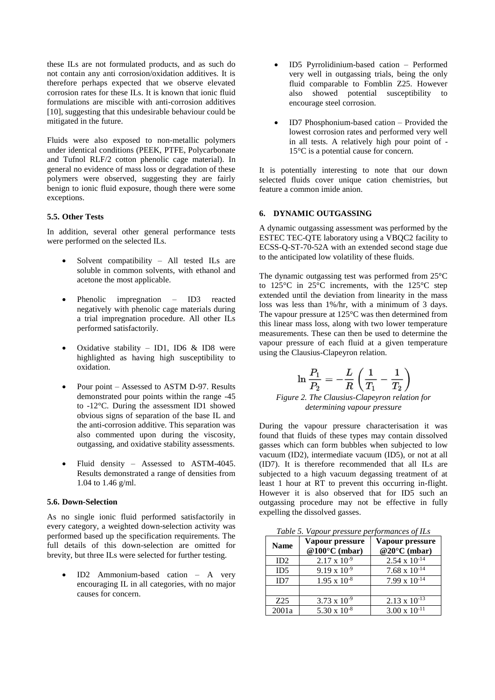these ILs are not formulated products, and as such do not contain any anti corrosion/oxidation additives. It is therefore perhaps expected that we observe elevated corrosion rates for these ILs. It is known that ionic fluid formulations are miscible with anti-corrosion additives [10], suggesting that this undesirable behaviour could be mitigated in the future.

Fluids were also exposed to non-metallic polymers under identical conditions (PEEK, PTFE, Polycarbonate and Tufnol RLF/2 cotton phenolic cage material). In general no evidence of mass loss or degradation of these polymers were observed, suggesting they are fairly benign to ionic fluid exposure, though there were some exceptions.

# **5.5. Other Tests**

In addition, several other general performance tests were performed on the selected ILs.

- Solvent compatibility All tested ILs are soluble in common solvents, with ethanol and acetone the most applicable.
- Phenolic impregnation ID3 reacted negatively with phenolic cage materials during a trial impregnation procedure. All other ILs performed satisfactorily.
- Oxidative stability ID1, ID6 & ID8 were highlighted as having high susceptibility to oxidation.
- Pour point Assessed to ASTM D-97. Results demonstrated pour points within the range -45 to -12°C. During the assessment ID1 showed obvious signs of separation of the base IL and the anti-corrosion additive. This separation was also commented upon during the viscosity, outgassing, and oxidative stability assessments.
- Fluid density Assessed to ASTM-4045. Results demonstrated a range of densities from 1.04 to 1.46 g/ml.

#### **5.6. Down-Selection**

As no single ionic fluid performed satisfactorily in every category, a weighted down-selection activity was performed based up the specification requirements. The full details of this down-selection are omitted for brevity, but three ILs were selected for further testing.

• ID2 Ammonium-based cation – A very encouraging IL in all categories, with no major causes for concern.

- ID5 Pyrrolidinium-based cation Performed very well in outgassing trials, being the only fluid comparable to Fomblin Z25. However also showed potential susceptibility to encourage steel corrosion.
- ID7 Phosphonium-based cation Provided the lowest corrosion rates and performed very well in all tests. A relatively high pour point of - 15°C is a potential cause for concern.

It is potentially interesting to note that our down selected fluids cover unique cation chemistries, but feature a common imide anion.

# **6. DYNAMIC OUTGASSING**

A dynamic outgassing assessment was performed by the ESTEC TEC-QTE laboratory using a VBQC2 facility to ECSS-Q-ST-70-52A with an extended second stage due to the anticipated low volatility of these fluids.

The dynamic outgassing test was performed from 25°C to 125°C in 25°C increments, with the 125°C step extended until the deviation from linearity in the mass loss was less than 1%/hr, with a minimum of 3 days. The vapour pressure at 125°C was then determined from this linear mass loss, along with two lower temperature measurements. These can then be used to determine the vapour pressure of each fluid at a given temperature using the Clausius-Clapeyron relation.

$$
\ln\frac{P_1}{P_2}=-\frac{L}{R}\left(\frac{1}{T_1}-\frac{1}{T_2}\right)
$$

#### *Figure 2. The Clausius-Clapeyron relation for determining vapour pressure*

During the vapour pressure characterisation it was found that fluids of these types may contain dissolved gasses which can form bubbles when subjected to low vacuum (ID2), intermediate vacuum (ID5), or not at all (ID7). It is therefore recommended that all ILs are subjected to a high vacuum degassing treatment of at least 1 hour at RT to prevent this occurring in-flight. However it is also observed that for ID5 such an outgassing procedure may not be effective in fully expelling the dissolved gasses.

*Table 5. Vapour pressure performances of ILs*

| <b>Name</b>     | Vapour pressure<br>@100 $\degree$ C (mbar) | Vapour pressure<br>@20°C (mbar) |
|-----------------|--------------------------------------------|---------------------------------|
| ID2             | $2.17 \times 10^{-9}$                      | $2.54 \times 10^{-14}$          |
| ID5             | $9.19 \times 10^{-9}$                      | $7.68 \times 10^{-14}$          |
| ID7             | $1.95 \times 10^{-8}$                      | $7.99 \times 10^{-14}$          |
|                 |                                            |                                 |
| Z <sub>25</sub> | $3.73 \times 10^{-9}$                      | $2.13 \times 10^{-13}$          |
| 2001a           | $5.30 \times 10^{-8}$                      | $3.00 \times 10^{-11}$          |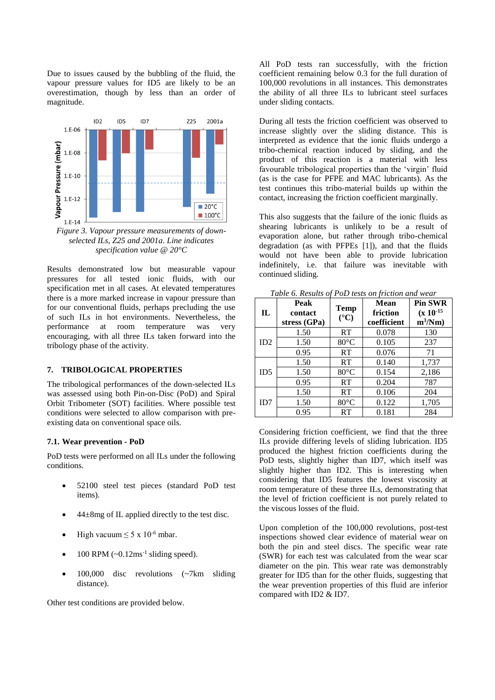Due to issues caused by the bubbling of the fluid, the vapour pressure values for ID5 are likely to be an overestimation, though by less than an order of magnitude.



*Figure 3. Vapour pressure measurements of downselected ILs, Z25 and 2001a. Line indicates specification value @ 20°C*

Results demonstrated low but measurable vapour pressures for all tested ionic fluids, with our specification met in all cases. At elevated temperatures there is a more marked increase in vapour pressure than for our conventional fluids, perhaps precluding the use of such ILs in hot environments. Nevertheless, the performance at room temperature was very encouraging, with all three ILs taken forward into the tribology phase of the activity.

# **7. TRIBOLOGICAL PROPERTIES**

The tribological performances of the down-selected ILs was assessed using both Pin-on-Disc (PoD) and Spiral Orbit Tribometer (SOT) facilities. Where possible test conditions were selected to allow comparison with preexisting data on conventional space oils.

# **7.1. Wear prevention - PoD**

PoD tests were performed on all ILs under the following conditions.

- 52100 steel test pieces (standard PoD test items).
- $44\pm8$ mg of IL applied directly to the test disc.
- High vacuum  $\leq 5 \times 10^{-6}$  mbar.
- $\bullet$  100 RPM (~0.12ms<sup>-1</sup> sliding speed).
- 100,000 disc revolutions (~7km sliding distance).

Other test conditions are provided below.

All PoD tests ran successfully, with the friction coefficient remaining below 0.3 for the full duration of 100,000 revolutions in all instances. This demonstrates the ability of all three ILs to lubricant steel surfaces under sliding contacts.

During all tests the friction coefficient was observed to increase slightly over the sliding distance. This is interpreted as evidence that the ionic fluids undergo a tribo-chemical reaction induced by sliding, and the product of this reaction is a material with less favourable tribological properties than the 'virgin' fluid (as is the case for PFPE and MAC lubricants). As the test continues this tribo-material builds up within the contact, increasing the friction coefficient marginally.

This also suggests that the failure of the ionic fluids as shearing lubricants is unlikely to be a result of evaporation alone, but rather through tribo-chemical degradation (as with PFPEs [1]), and that the fluids would not have been able to provide lubrication indefinitely, i.e. that failure was inevitable with continued sliding.

| $\mathbf{L}$ | Peak<br>contact<br>stress (GPa) | <b>Temp</b><br>$({}^{\circ}C)$ | <b>Mean</b><br>friction<br>coefficient | <b>Pin SWR</b><br>$(x 10^{-15})$<br>$m^3/Nm$ |
|--------------|---------------------------------|--------------------------------|----------------------------------------|----------------------------------------------|
|              | 1.50                            | RT                             | 0.078                                  | 130                                          |
| ID2          | 1.50                            | $80^{\circ}$ C                 | 0.105                                  | 237                                          |
|              | 0.95                            | RT                             | 0.076                                  | 71                                           |
|              | 1.50                            | RT                             | 0.140                                  | 1,737                                        |
| ID5          | 1.50                            | $80^{\circ}$ C                 | 0.154                                  | 2,186                                        |
|              | 0.95                            | RT                             | 0.204                                  | 787                                          |
| ID7          | 1.50                            | RT                             | 0.106                                  | 204                                          |
|              | 1.50                            | $80^{\circ}$ C                 | 0.122                                  | 1,705                                        |
|              | 0.95                            | RT                             | 0.181                                  | 284                                          |

*Table 6. Results of PoD tests on friction and wear*

Considering friction coefficient, we find that the three ILs provide differing levels of sliding lubrication. ID5 produced the highest friction coefficients during the PoD tests, slightly higher than ID7, which itself was slightly higher than ID2. This is interesting when considering that ID5 features the lowest viscosity at room temperature of these three ILs, demonstrating that the level of friction coefficient is not purely related to the viscous losses of the fluid.

Upon completion of the 100,000 revolutions, post-test inspections showed clear evidence of material wear on both the pin and steel discs. The specific wear rate (SWR) for each test was calculated from the wear scar diameter on the pin. This wear rate was demonstrably greater for ID5 than for the other fluids, suggesting that the wear prevention properties of this fluid are inferior compared with ID2 & ID7.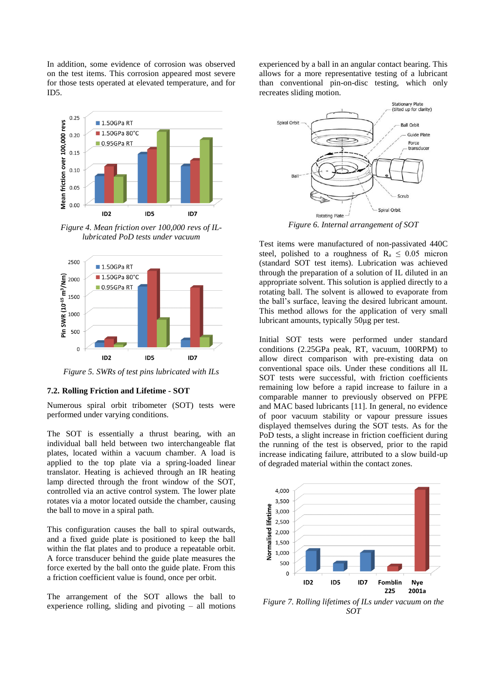In addition, some evidence of corrosion was observed on the test items. This corrosion appeared most severe for those tests operated at elevated temperature, and for ID5.



*Figure 4. Mean friction over 100,000 revs of ILlubricated PoD tests under vacuum*



*Figure 5. SWRs of test pins lubricated with ILs*

#### **7.2. Rolling Friction and Lifetime - SOT**

Numerous spiral orbit tribometer (SOT) tests were performed under varying conditions.

The SOT is essentially a thrust bearing, with an individual ball held between two interchangeable flat plates, located within a vacuum chamber. A load is applied to the top plate via a spring-loaded linear translator. Heating is achieved through an IR heating lamp directed through the front window of the SOT, controlled via an active control system. The lower plate rotates via a motor located outside the chamber, causing the ball to move in a spiral path.

This configuration causes the ball to spiral outwards, and a fixed guide plate is positioned to keep the ball within the flat plates and to produce a repeatable orbit. A force transducer behind the guide plate measures the force exerted by the ball onto the guide plate. From this a friction coefficient value is found, once per orbit.

The arrangement of the SOT allows the ball to experience rolling, sliding and pivoting – all motions experienced by a ball in an angular contact bearing. This allows for a more representative testing of a lubricant than conventional pin-on-disc testing, which only recreates sliding motion.



Test items were manufactured of non-passivated 440C steel, polished to a roughness of  $R_a \leq 0.05$  micron (standard SOT test items). Lubrication was achieved through the preparation of a solution of IL diluted in an appropriate solvent. This solution is applied directly to a rotating ball. The solvent is allowed to evaporate from the ball's surface, leaving the desired lubricant amount. This method allows for the application of very small lubricant amounts, typically 50μg per test.

Initial SOT tests were performed under standard conditions (2.25GPa peak, RT, vacuum, 100RPM) to allow direct comparison with pre-existing data on conventional space oils. Under these conditions all IL SOT tests were successful, with friction coefficients remaining low before a rapid increase to failure in a comparable manner to previously observed on PFPE and MAC based lubricants [11]. In general, no evidence of poor vacuum stability or vapour pressure issues displayed themselves during the SOT tests. As for the PoD tests, a slight increase in friction coefficient during the running of the test is observed, prior to the rapid increase indicating failure, attributed to a slow build-up of degraded material within the contact zones.



*Figure 7. Rolling lifetimes of ILs under vacuum on the SOT*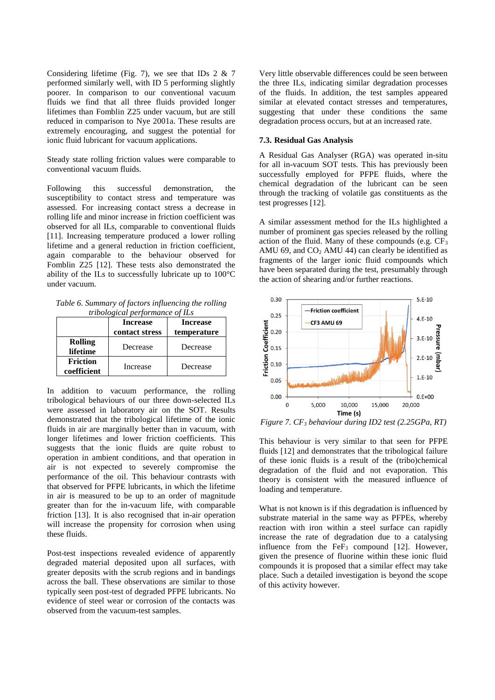Considering lifetime (Fig. 7), we see that IDs  $2 \& 7$ performed similarly well, with ID 5 performing slightly poorer. In comparison to our conventional vacuum fluids we find that all three fluids provided longer lifetimes than Fomblin Z25 under vacuum, but are still reduced in comparison to Nye 2001a. These results are extremely encouraging, and suggest the potential for ionic fluid lubricant for vacuum applications.

Steady state rolling friction values were comparable to conventional vacuum fluids.

Following this successful demonstration, the susceptibility to contact stress and temperature was assessed. For increasing contact stress a decrease in rolling life and minor increase in friction coefficient was observed for all ILs, comparable to conventional fluids [11]. Increasing temperature produced a lower rolling lifetime and a general reduction in friction coefficient, again comparable to the behaviour observed for Fomblin Z25 [12]. These tests also demonstrated the ability of the ILs to successfully lubricate up to 100°C under vacuum.

*Table 6. Summary of factors influencing the rolling tribological performance of ILs*

|                                | <b>Increase</b><br>contact stress | <b>Increase</b><br>temperature |
|--------------------------------|-----------------------------------|--------------------------------|
| <b>Rolling</b><br>lifetime     | Decrease                          | Decrease                       |
| <b>Friction</b><br>coefficient | Increase                          | Decrease                       |

In addition to vacuum performance, the rolling tribological behaviours of our three down-selected ILs were assessed in laboratory air on the SOT. Results demonstrated that the tribological lifetime of the ionic fluids in air are marginally better than in vacuum, with longer lifetimes and lower friction coefficients. This suggests that the ionic fluids are quite robust to operation in ambient conditions, and that operation in air is not expected to severely compromise the performance of the oil. This behaviour contrasts with that observed for PFPE lubricants, in which the lifetime in air is measured to be up to an order of magnitude greater than for the in-vacuum life, with comparable friction [13]. It is also recognised that in-air operation will increase the propensity for corrosion when using these fluids.

Post-test inspections revealed evidence of apparently degraded material deposited upon all surfaces, with greater deposits with the scrub regions and in bandings across the ball. These observations are similar to those typically seen post-test of degraded PFPE lubricants. No evidence of steel wear or corrosion of the contacts was observed from the vacuum-test samples.

Very little observable differences could be seen between the three ILs, indicating similar degradation processes of the fluids. In addition, the test samples appeared similar at elevated contact stresses and temperatures, suggesting that under these conditions the same degradation process occurs, but at an increased rate.

### **7.3. Residual Gas Analysis**

A Residual Gas Analyser (RGA) was operated in-situ for all in-vacuum SOT tests. This has previously been successfully employed for PFPE fluids, where the chemical degradation of the lubricant can be seen through the tracking of volatile gas constituents as the test progresses [12].

A similar assessment method for the ILs highlighted a number of prominent gas species released by the rolling action of the fluid. Many of these compounds (e.g.  $CF_3$ ) AMU 69, and  $CO<sub>2</sub>$  AMU 44) can clearly be identified as fragments of the larger ionic fluid compounds which have been separated during the test, presumably through the action of shearing and/or further reactions.



*Figure 7. CF<sup>3</sup> behaviour during ID2 test (2.25GPa, RT)*

This behaviour is very similar to that seen for PFPE fluids [12] and demonstrates that the tribological failure of these ionic fluids is a result of the (tribo)chemical degradation of the fluid and not evaporation. This theory is consistent with the measured influence of loading and temperature.

What is not known is if this degradation is influenced by substrate material in the same way as PFPEs, whereby reaction with iron within a steel surface can rapidly increase the rate of degradation due to a catalysing influence from the  $FeF<sub>3</sub>$  compound [12]. However, given the presence of fluorine within these ionic fluid compounds it is proposed that a similar effect may take place. Such a detailed investigation is beyond the scope of this activity however.